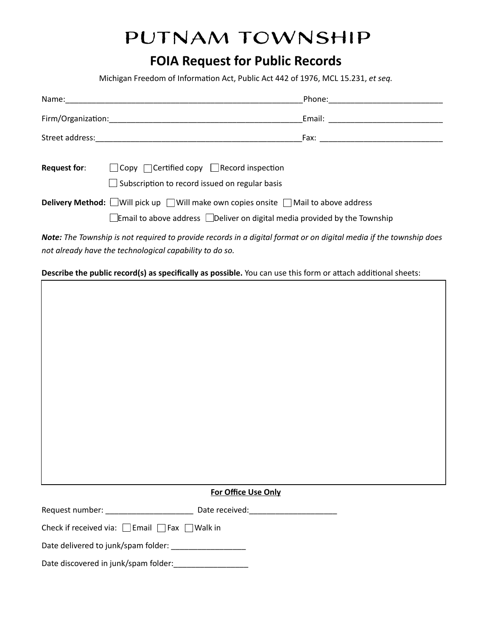# Putnam Township

# **FOIA Request for Public Records**

Michigan Freedom of Information Act, Public Act 442 of 1976, MCL 15.231, et seq.

| Name:               | Phone: <u>with the contract of the contract of the contract of the contract of the contract of the contract of the contract of the contract of the contract of the contract of the contract of the contract of the contract of t</u> |  |
|---------------------|--------------------------------------------------------------------------------------------------------------------------------------------------------------------------------------------------------------------------------------|--|
|                     |                                                                                                                                                                                                                                      |  |
|                     |                                                                                                                                                                                                                                      |  |
| <b>Request for:</b> | $\Box$ Copy $\Box$ Certified copy $\Box$ Record inspection<br>$\Box$ Subscription to record issued on regular basis                                                                                                                  |  |
|                     | <b>Delivery Method:</b> Will pick up $\Box$ Will make own copies onsite $\Box$ Mail to above address<br><b>Email to above address</b> Deliver on digital media provided by the Township                                              |  |
|                     |                                                                                                                                                                                                                                      |  |

 *Note: The Township is not required to provide records in a digital format or on digital media if the township does not already have the technological capability to do so.* 

**Describe the public record(s) as specifically as possible.** You can use this form or attach additional sheets:

 **For Office Use Only** 

| Request number: | Date received: |  |
|-----------------|----------------|--|
|                 |                |  |

Check if received via: ▢ Email ▢ Fax ▢ Walk in

| Date delivered to junk/spam folder: |  |
|-------------------------------------|--|
|                                     |  |

Date discovered in junk/spam folder:\_\_\_\_\_\_\_\_\_\_\_\_\_\_\_\_\_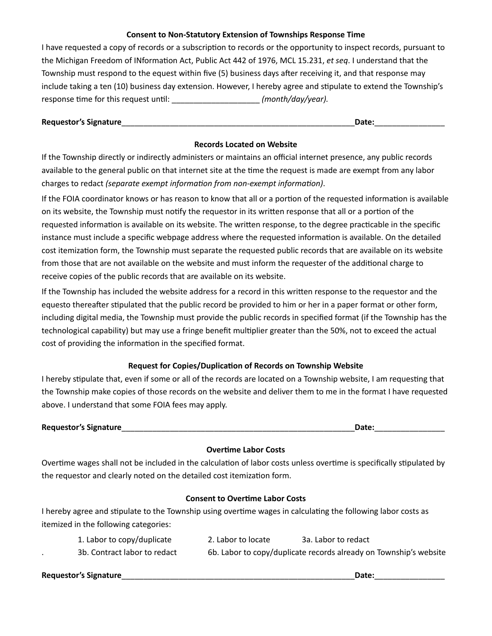# **Consent to Non-Statutory Extension of Townships Response Time**

I have requested a copy of records or a subscription to records or the opportunity to inspect records, pursuant to the Michigan Freedom of INformation Act, Public Act 442 of 1976, MCL 15.231, et seq. I understand that the Township must respond to the equest within five (5) business days after receiving it, and that response may include taking a ten (10) business day extension. However, I hereby agree and stipulate to extend the Township's response time for this request until: \_\_\_\_\_\_\_\_\_\_\_\_\_\_\_\_\_\_\_\_\_\_\_\_*(month/day/year).* 

# **Requestor's Signature** \_\_\_\_\_\_\_\_\_\_\_\_\_\_\_\_\_\_\_\_\_\_\_\_\_\_\_\_\_\_\_\_\_\_\_\_\_\_\_\_\_\_\_\_\_\_\_\_\_\_\_\_\_ **Date:** \_\_\_\_\_\_\_\_\_\_\_\_\_\_\_\_

# **Records Located on Website**

 If the Township directly or indirectly administers or maintains an official internet presence, any public records available to the general public on that internet site at the time the request is made are exempt from any labor charges to redact *(separate exempt information from non-exempt information)*.

If the FOIA coordinator knows or has reason to know that all or a portion of the requested information is available on its website, the Township must notify the requestor in its written response that all or a portion of the requested information is available on its website. The written response, to the degree practicable in the specific instance must include a specific webpage address where the requested information is available. On the detailed cost itemization form, the Township must separate the requested public records that are available on its website from those that are not available on the website and must inform the requester of the additional charge to receive copies of the public records that are available on its website.

If the Township has included the website address for a record in this written response to the requestor and the equesto thereafter stipulated that the public record be provided to him or her in a paper format or other form, including digital media, the Township must provide the public records in specified format (if the Township has the technological capability) but may use a fringe benefit multiplier greater than the 50%, not to exceed the actual cost of providing the information in the specified format.

# **Request for Copies/Duplication of Records on Township Website**

I hereby stipulate that, even if some or all of the records are located on a Township website, I am requesting that the Township make copies of those records on the website and deliver them to me in the format I have requested above. I understand that some FOIA fees may apply.

**Date:**  $\blacksquare$ 

# **Overtime Labor Costs**

Overtime wages shall not be included in the calculation of labor costs unless overtime is specifically stipulated by the requestor and clearly noted on the detailed cost itemization form.

# **Consent to Overtime Labor Costs**

I hereby agree and stipulate to the Township using overtime wages in calculating the following labor costs as itemized in the following categories:

| 1. Labor to copy/duplicate   | 2. Labor to locate | 3a. Labor to redact                                               |
|------------------------------|--------------------|-------------------------------------------------------------------|
| 3b. Contract labor to redact |                    | 6b. Labor to copy/duplicate records already on Township's website |

 **Requestor's Signature** \_\_\_\_\_\_\_\_\_\_\_\_\_\_\_\_\_\_\_\_\_\_\_\_\_\_\_\_\_\_\_\_\_\_\_\_\_\_\_\_\_\_\_\_\_\_\_\_\_\_\_\_\_ **Date:** \_\_\_\_\_\_\_\_\_\_\_\_\_\_\_\_